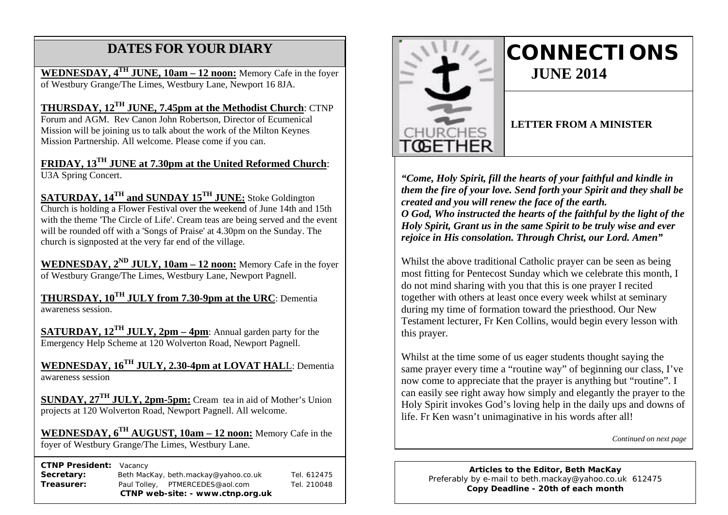## **DATES FOR YOUR DIARY**

**WEDNESDAY, 4TH JUNE, 10am – 12 noon:** Memory Cafe in the foyer of Westbury Grange/The Limes, Westbury Lane, Newport 16 8JA.

 Mission will be joining us to talk about the work of the Milton Keynes **THURSDAY, 12TH JUNE, 7.45pm at the Methodist Church**: CTNP Forum and AGM. Rev Canon John Robertson, Director of Ecumenical Mission Partnership. All welcome. Please come if you can.

**FRIDAY, 13TH JUNE at 7.30pm at the United Reformed Church**: U3A Spring Concert.

**SATURDAY, 14TH and SUNDAY 15TH JUNE:** Stoke Goldington Church is holding a Flower Festival over the weekend of June 14th and 15th with the theme 'The Circle of Life'. Cream teas are being served and the event will be rounded off with a 'Songs of Praise' at 4.30pm on the Sunday. The church is signposted at the very far end of the village.

**WEDNESDAY, 2ND JULY, 10am – 12 noon:** Memory Cafe in the foyer of Westbury Grange/The Limes, Westbury Lane, Newport Pagnell.

**THURSDAY, 10TH JULY from 7.30-9pm at the URC**: Dementia awareness session.

**SATURDAY, 12TH JULY, 2pm – 4pm**: Annual garden party for the Emergency Help Scheme at 120 Wolverton Road, Newport Pagnell.

**WEDNESDAY, 16TH JULY, 2.30-4pm at LOVAT HAL**L: Dementia awareness session

**SUNDAY, 27TH JULY, 2pm-5pm:** Cream tea in aid of Mother's Union projects at 120 Wolverton Road, Newport Pagnell. All welcome.

**WEDNESDAY, 6TH AUGUST, 10am – 12 noon:** Memory Cafe in the foyer of Westbury Grange/The Limes, Westbury Lane.

 **CTNP President:** Vacancy

| CTNP web-site: - www.ctnp.org.uk |                                      |  |             |
|----------------------------------|--------------------------------------|--|-------------|
| Treasurer:                       | Paul Tolley, PTMERCEDES@aol.com      |  | Tel. 210048 |
| Secretary:                       | Beth MacKay, beth.mackay@yahoo.co.uk |  | Tel. 612475 |
|                                  |                                      |  |             |



# **CONNECTIONS JUNE 2014**

#### **LETTER FROM A MINISTER**

*"Come, Holy Spirit, fill the hearts of your faithful and kindle in them the fire of your love. Send forth your Spirit and they shall be created and you will renew the face of the earth. O God, Who instructed the hearts of the faithful by the light of the Holy Spirit, Grant us in the same Spirit to be truly wise and ever rejoice in His consolation. Through Christ, our Lord. Amen"*

Whilst the above traditional Catholic prayer can be seen as being most fitting for Pentecost Sunday which we celebrate this month, I do not mind sharing with you that this is one prayer I recited together with others at least once every week whilst at seminary during my time of formation toward the priesthood. Our New Testament lecturer, Fr Ken Collins, would begin every lesson with this prayer.

Whilst at the time some of us eager students thought saying the same prayer every time a "routine way" of beginning our class, I've now come to appreciate that the prayer is anything but "routine". I can easily see right away how simply and elegantly the prayer to the Holy Spirit invokes God's loving help in the daily ups and downs of life. Fr Ken wasn't unimaginative in his words after all!

*Continued on next page*

**Articles to the Editor, Beth MacKay** Preferably by e-mail to beth.mackay@yahoo.co.uk 612475 **Copy Deadline - 20th of each month**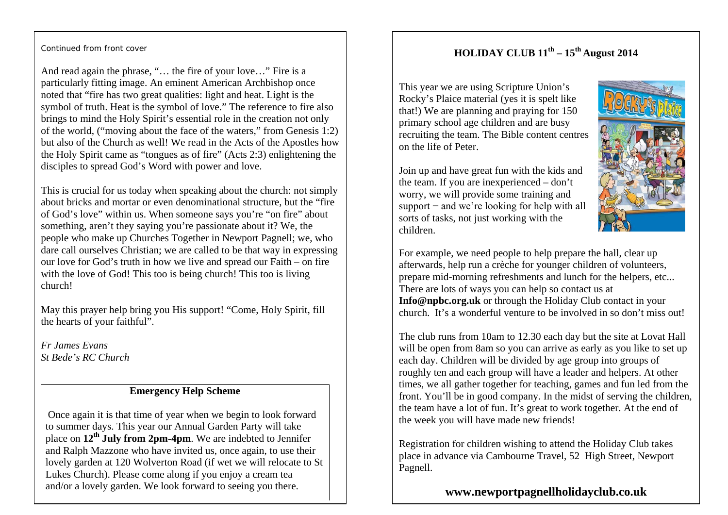## **HOLIDAY CLUB 11th – 15th August 2014**

Continued from front cover

And read again the phrase, "… the fire of your love…" Fire is a particularly fitting image. An eminent American Archbishop once noted that "fire has two great qualities: light and heat. Light is the symbol of truth. Heat is the symbol of love." The reference to fire also brings to mind the Holy Spirit's essential role in the creation not only of the world, ("moving about the face of the waters," from Genesis 1:2) but also of the Church as well! We read in the Acts of the Apostles how the Holy Spirit came as "tongues as of fire" (Acts 2:3) enlightening the disciples to spread God's Word with power and love.

This is crucial for us today when speaking about the church: not simply about bricks and mortar or even denominational structure, but the "fire of God's love" within us. When someone says you're "on fire" about something, aren't they saying you're passionate about it? We, the people who make up Churches Together in Newport Pagnell; we, who dare call ourselves Christian; we are called to be that way in expressing our love for God's truth in how we live and spread our Faith – on fire with the love of God! This too is being church! This too is living church!

May this prayer help bring you His support! "Come, Holy Spirit, fill the hearts of your faithful".

*Fr James Evans St Bede's RC Church*

#### **Emergency Help Scheme**

Once again it is that time of year when we begin to look forward to summer days. This year our Annual Garden Party will take place on **12th July from 2pm-4pm**. We are indebted to Jennifer and Ralph Mazzone who have invited us, once again, to use their lovely garden at 120 Wolverton Road (if wet we will relocate to St Lukes Church). Please come along if you enjoy a cream tea and/or a lovely garden. We look forward to seeing you there.

This year we are using Scripture Union's Rocky's Plaice material (yes it is spelt like that!) We are planning and praying for 150 primary school age children and are busy recruiting the team. The Bible content centres on the life of Peter.

Join up and have great fun with the kids and the team. If you are inexperienced – don't worry, we will provide some training and support – and we're looking for help with all sorts of tasks, not just working with the children.



For example, we need people to help prepare the hall, clear up afterwards, help run a crèche for younger children of volunteers, prepare mid-morning refreshments and lunch for the helpers, etc... There are lots of ways you can help so contact us at **Info@npbc.org.uk** or through the Holiday Club contact in your church. It's a wonderful venture to be involved in so don't miss out!

The club runs from 10am to 12.30 each day but the site at Lovat Hall will be open from 8am so you can arrive as early as you like to set up each day. Children will be divided by age group into groups of roughly ten and each group will have a leader and helpers. At other times, we all gather together for teaching, games and fun led from the front. You'll be in good company. In the midst of serving the children, the team have a lot of fun. It's great to work together. At the end of the week you will have made new friends!

Registration for children wishing to attend the Holiday Club takes place in advance via Cambourne Travel, 52 High Street, Newport Pagnell.

**www.newportpagnellholidayclub.co.uk**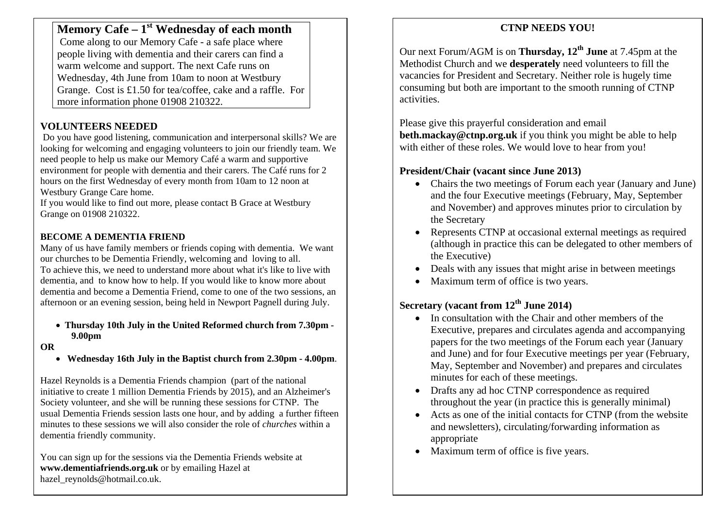## **Memory Cafe – 1st Wednesday of each month**

Come along to our Memory Cafe - a safe place where people living with dementia and their carers can find a warm welcome and support. The next Cafe runs on Wednesday, 4th June from 10am to noon at Westbury Grange. Cost is £1.50 for tea/coffee, cake and a raffle. For more information phone 01908 210322.

## **VOLUNTEERS NEEDED**

Do you have good listening, communication and interpersonal skills? We are looking for welcoming and engaging volunteers to join our friendly team. We need people to help us make our Memory Café a warm and supportive environment for people with dementia and their carers. The Café runs for 2 hours on the first Wednesday of every month from 10am to 12 noon at Westbury Grange Care home.

If you would like to find out more, please contact B Grace at Westbury Grange on 01908 210322.

## **BECOME A DEMENTIA FRIEND**

Many of us have family members or friends coping with dementia. We want our churches to be Dementia Friendly, welcoming and loving to all. To achieve this, we need to understand more about what it's like to live with dementia, and to know how to help. If you would like to know more about dementia and become a Dementia Friend, come to one of the two sessions, an afternoon or an evening session, being held in Newport Pagnell during July.

#### • **Thursday 10th July in the United Reformed church from 7.30pm - 9.00pm**

#### **OR**

• **Wednesday 16th July in the Baptist church from 2.30pm - 4.00pm**.

Hazel Reynolds is a Dementia Friends champion (part of the national initiative to create 1 million Dementia Friends by 2015), and an Alzheimer's Society volunteer, and she will be running these sessions for CTNP. The usual Dementia Friends session lasts one hour, and by adding a further fifteen minutes to these sessions we will also consider the role of *churches* within a dementia friendly community.

You can sign up for the sessions via the Dementia Friends website at **www.dementiafriends.org.uk** or by emailing Hazel at hazel\_reynolds@hotmail.co.uk.

## **CTNP NEEDS YOU!**

Our next Forum/AGM is on **Thursday, 12th June** at 7.45pm at the Methodist Church and we **desperately** need volunteers to fill the vacancies for President and Secretary. Neither role is hugely time consuming but both are important to the smooth running of CTNP activities.

Please give this prayerful consideration and email **beth.mackay@ctnp.org.uk** if you think you might be able to help with either of these roles. We would love to hear from you!

### **President/Chair (vacant since June 2013)**

- Chairs the two meetings of Forum each year (January and June) and the four Executive meetings (February, May, September and November) and approves minutes prior to circulation by the Secretary
- Represents CTNP at occasional external meetings as required (although in practice this can be delegated to other members of the Executive)
- Deals with any issues that might arise in between meetings
- Maximum term of office is two years.

## **Secretary (vacant from 12th June 2014)**

- In consultation with the Chair and other members of the Executive, prepares and circulates agenda and accompanying papers for the two meetings of the Forum each year (January and June) and for four Executive meetings per year (February, May, September and November) and prepares and circulates minutes for each of these meetings.
- Drafts any ad hoc CTNP correspondence as required throughout the year (in practice this is generally minimal)
- Acts as one of the initial contacts for CTNP (from the website and newsletters), circulating/forwarding information as appropriate
- Maximum term of office is five years.